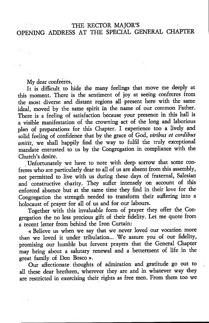## THE RECTOR MAJOR'S OPENING ADDRESS AT THE SPECIAL GENERAL CHAPTER

My dear confreres,

It is difficult to hide the many feelings that move me deeply at this moment. There is the sentiment of joy at seeing confreres from the most diverse and distant regions all present here with the same ideal, moved by the same spirit in the name of our common Father. There is a feeling of satisfaction because your presence in this hall is a visible manifestation of the crowning act of the long and laborious plan of preparations for this Chapter. I experience too a lively and solid feeling of confidence that by the grace of God, *viribus et cordibas unitis,* we shall happily find the way to fulfil the truly exceptional mandate entrusted to us by the Congregation in compliance with the Church's desire.

Unfortunately we have to note with deep sorrow that some confreres who are particularly dear to all of us are absent from this assembly, not permitted to live with us during these days of fraternal, Salesian and constructive charity. They suffer intensely on account of this enforced absence but at the same time they find in their love for the Congregation the strength needed to transform their suffering into a holocaust of prayer for all of us and for our labours.

Together with this invaluable form of prayer they offer the Congregation the no less precious gift of their fidelity. Let me quote from a recent letter from behind the Iron Curtain:

« Believe us when we say that we never loved our vocation more than we loved it under tribulation... We assure you of our fidelity, promising our humble but fervent prayers that the General Chapter may bring about a salutary renewal and a betterment of life in the great family of Don Bosco *».*

Our affectionate thoughts of admiration and gratitude go out to all these dear brethren, wherever they are and in whatever way they are restricted in exercising their rights as free men. From them too we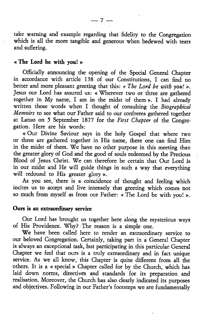take warning and example regarding that fidelity to the Congregation which is all the more tangible and generous when bedewed with tears and suffering.

# « The Lord be with you! »

Officially announcing the opening of the Special General Chapter in accordance with article 138 of our Constitutions, I can find no better and more pleasant greeting that this: « *The Lord be with you! ».* Jesus our Lord has assured us: « Wherever two or three are gathered together in My name, I am in the midst of them ». I had already written those words when I thought of consulting the *Biographical Memoirs* to see what our Father said to our confreres gathered together at Lanzo on 5 September 1877 for the *First Chapter* of the Congregation. Here are his words:

« Our Divine Saviour says in the holy Gospel that where two or three are gathered together in His name, there one can find Him in the midst of them. We have no other purpose in this meeting than the greater glory of God and the good of souls redeemed by the Precious Blood of Jesus Christ. We can therefore be certain that Our Lord is in our midst and He will guide things in such a way that everything will redound to His greater glory ».

As you see, there is a coincidence of thought and feeling which incites us to accept and live intensely that greeting which comes not so much from myself as from our Father: « The Lord be with you! ».

#### Ours is an extraordinary service

Our Lord has brought us together here along the mysterious ways of His Providence. Why? -The reason is a simple one.

We have been called here to render an extraordinary service to our beloved Congregation. Certainly, taking part in a General Chapter is always an exceptional task, but participating in this particular General Chapter we feel that ours is a truly extraordinary and in fact unique service. As we all know, this Chapter is quite different from all the others. It is a « special» Chapter called for by the Church, which has laid down norms, directives and standards for its preparation and realisation. Moreover, the Church has also clearly indicated its purposes and objectives. Following in our Father's footsteps we are fundamentally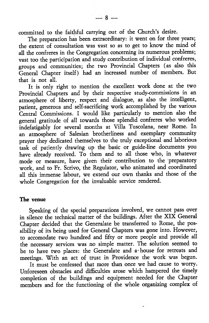committed to the faithful carrying out of the Church's desire.

The preparation has been extraordinary: it went on for three years; the extent of consultation was vast so as to get to know the mind of all the confreres in the Congregation concerning its numerous problems; vast too the participation and study contribution of individual confreres, groups and communities; the two Provincial Chapters (as also this General Chapter itself) had an increased number of members. But that is not all.

It is only right to mention the excellent work done at the two Provincial Chapters and by their respective study-commissions in an atmosphere of liberty, respect and dialogue, as also the intelligent, patient, generous and self-sacrificing work accomplished by the various Central Commissions. I would like particularly to mention also the general gratitude of all towards those splendid confreres who worked indefatigably for several months at Villa Tuscolana, near Rome. In an atmosphere of Salesian brotherliness and exemplary community prayer they dedicated themselves to the truly exceptional and laborious task of patiently drawing up the basic or guide-line documents you have already received. To them and to all those who, in whatever mode or measure, have given their contribution to the preparatory work, and to Fr. Scrivo, the Regulator, who animated and coordinated all this immense labour, we extend our own thanks and those of the whole Congregation for the invaluable service rendered.

#### The venue

Speaking of the special preparations involved, we cannot pass over in silence the technical matter of the buildings. After the XIX General Chapter decided that the Generalate be transferred to Rome, the possibility of its being used for General Chapters was gone into. However, to accomodate two hundred and fifty or more people and provide all the necessary services was no simple matter. The solution seemed to be to have two places: the Generalate and a-house for retreats and meetings. With an act of trust in Providence the work was begun.

It must be confessed that more than once we had cause to worry. Unforeseen obstacles and difficulties arose which hampered the timely completion of the buildings and equipment needed for the Chapter members and for the functioning of the whole organizing complex of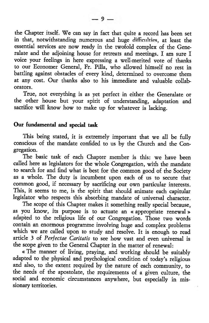the Chapter itself. We can say in fact that quite a record has been set in that, notwithstanding numerous and huge difficulties, at least the essential services are now ready in the twofold complex of the Generalate and the adjoining house for retreats and meetings. I am sure I voice your feelings in here expressing a well-merited vote of thanks to our Economer General, Fr. Pilla, who allowed himself no rest in battling against obstacles of every kind, determined to overcome them at any cost. Our thanks also to his immediate and valuable collaborators.

True, not everything is as yet perfect in either the Generalate or the other house but your spirit of understanding, adaptation and sacrifice will know how to make up for whatever is lacking.

# Our fundamental and special task

This being stated, it is extremely important that we all be fully conscious of the mandate confided to us by the Church and the Congregation.

The basic task of each Chapter member is this: we have been called here as legislators for the whole Congregation, with the mandate to search for and find what is best for the common good of the Society as a whole. The duty is incumbent upon each of us to secure that common good, if necessary by sacrificing our own particular interests. This, it seems to me, is the spirit that should animate each capitular legislator who respects this absorbing mandate of universal character.

The scope of this Chapter makes it something really special because, as you know, its purpose is to actuate an « appropriate renewal» adapted to the religious life of our Congregation. Those two words contain an enormous programme involving huge and complex problems which we are called upon to study and resolve. It is enough to read article 3 of *Perfectae Caritatis* to see how vast and even universal is the scope given to the General Chapter in the matter of renewal:

« The manner of living, praying, and working should be suitably adapted to the physical and psychological condition of today's religious and also, to the extent required by the nature of each community, to the needs of the apostolate, the requirements of a given culture, the social and economic circumstances anywhere, but especially in missionary territories.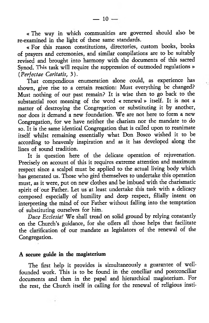« The way in which communities are governed should also be re-examined in the light of these same standards.

« For this reason constitutions, directories, custom books, books of prayers and ceremonies, and similar compilations are to be suitably revised and brought into harmony with the documents of this sacred Synod. This task will require the suppression of outmoded regulations » *(Perfectae Caritatis,* 3).

That compendious enumeration alone could, as experience has shown, give rise to a certain reaction: Must everything be changed? Must nothing of our past remain? It is wise then to go back to the substantial root meaning of the word « renewal» itself. It is not a matter of destroying the Congregation or substituting it by another, nor does it demand a new foundation. We are not here to form a new Congregation, for we have neither the charism nor the mandate to do so. It is the same identical Congregation that is called upon to reanimate itself whilst remaining essentially what Don Bosco wished it to be according to heavenly inspiration and as it has developed along the lines of sound tradition.

It is question here of the delicate operation of rejuvenation. Precisely on account of this it requires extreme attention and maximum respect since a scalpel must be applied to the actual living body which has generated us. Those who gird themselves to undertake this operation must, as it were, put on new clothes and be imbued with the charismatic spirit of our Father. Let us at least undertake this task with a delicacy composed especially of humility and deep respect, filially intent on interpreting the mind of our Father without falling into the temptation of substituting ourselves for him.

*Duce Ecclesia!* We shall tread on solid ground by relying constantly on the Church's guidance, for she offers all those helps that facilitate the clarification of our mandate as legislators of the renewal of the Congregation.

# A secure guide in the magisterium

The first help it provides is simultaneously a guarantee of wellfounded work. This is to be found in the conciliar and postconciliar documents and then in the papal and hierarchical magisterium. For the rest, the Church itself in calling for the renewal of religious insti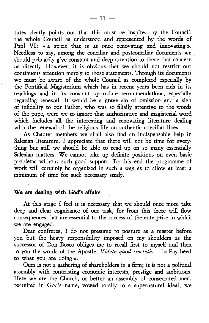tutes clearly points out that this must be inspired by the Council, the whole Council as understood and represented by the words of Paul VI: « a spirit that is at once renovating and innovating ». Needless to say, among the conciliar and postconciliar documents we should primarily give constant and deep attention to those that concern us directly. However, it is obvious that we should not resttict our continuous attention merely to those statements. Through its documents we must be aware of the whole Council as completed especially by the Pontifical Magisterium which has in recent years been rich in its teachings and in its constant up-to-date recommendations, especially regarding renewal. It would be a grave sin of omission and a sign of infidelity to our Father, who was so filially attentive to the words of the pope, were we to ignore that authoritative and magisterial word which includes all the interesting and renovating literature dealing with the renewal of the religious life on authentic conciliar lines.

As Chapter members we shall also find an indispensable help in Salesian literature. I appreciate that there will not be time for everything but still we should be able to read up on so many essentially Salesian matters. We cannot take up definite positions on even basic problems without such good support. To this end the programme of work will certainly be organized in such a way as to allow at least a minimum of time for such necessary study.

# We are dealing with God's affairs

At this stage I feel it is necessary that we should once more take deep and dear cognizance of our task, for from this there will flow consequences that are essential to the success of the enterprise in which we are engaged.

Dear confreres, I do not presume to posture as a master before you but the heavy responsibility imposed on my shoulders as the successor of Don Bosco obliges me to recall first to myself and then to you the words of the Apostle: *Videte quod tractatis* — « Pay heed to what you are doing ».

Ours is not a gathering of shareholders in a firm; it is not a political assembly with contrasting economic interests, prestige and ambitions. Here we are the Church, or better an assembly of consecrated men, re-united in God's name, vowed totally to a supernatural ideal; we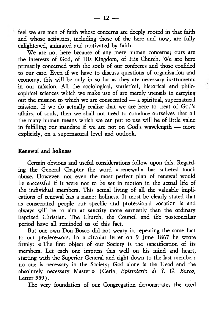feel we are men of faith whose concerns are deeply rooted in that faith and whose activities, including those of the here and now, are fully enlightened, animated and motivated by faith.

We are not here because of any mere human concerns; ours are the interests of God, of His Kingdom, of His Church. We are here primarily concerned with the souls of our confreres and those confided to our care. Even if we have to discuss questions of organization and economy, this will be only in so far as they are necessary instruments in our mission. All the sociological, statistical, historical and philosophical sciences which we make use of are merely utensils in carrying out the mission to which we are consecrated — a spiritual, supernatural mission. If we do actually realize that we are here to treat of God's affairs, of souls, then we shall not need to convince ourselves that all the many human means which we can put to use will be of little value in fulfilling our mandate if we are not on God's wavelength - more explicitly, on a supernatural level and outlook.

## Renewal and holiness

Certain obvious and useful considerations follow upon this. Regarding the General Chapter the word « renewal» has suffered much abuse. However, not even the most perfect plan of renewal would be successful if it were not to be set in motion in the actual life of the individual members. This actual living of all the valuable implications of renewal has a name: holiness. It must be clearly stated that as consecrated people our specific and professional vocation is and always will be to aim at sanctity more earnestly than the ordinary baptized Christian. The Church, the Council and the postconciliar period have all reminded us of this fact.

But our own Don Bosco did not weary in repeating the same fact to our predecessors. In a circular letter on 9 June 1867 he wrote firmly: « The first object of our Society is the sanctification of its members. Let each one impress this well on his mind and heart, starting with the Superior General and right down to the last member: no one is necessary in the Society; God alone is the Head and the absolutely necessary Master» (Ceria, *Epistolario di S. G. Bosco,* Letter 559).

The very foundation of our Congregation demonstrates the need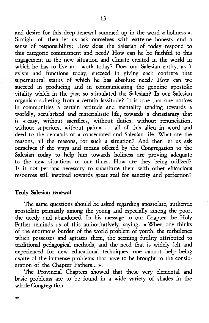and desire for this deep renewal summed up in the word « holiness ». Straight off then let us ask ourselves with extreme honesty and a sense of responsibility: How does the Salesian of today respond to this categoric commitment and need? How can he be faithful to this engagement in the new situation and climate created in the world in which he has to live and work today? Does our Salesian entity, as it exists and functions today, succeed in giving each confrere that supernatural status of which he has absolute need? How can we succeed in producing and in communicating the genuine apostolic vitality which in the past so stimulated the Salesian? Is our Salesian organism suffering from a certain lassitude? It is true that one notices in communities a certain attitude and mentality tending towards a worldly, secularized and materialistic life, towards a christianity that is « easy, without sacrifices, without duties, without renunciation, without superiors, without pain » — all of this alien in word and deed to the demands of a consecrated and Salesian life. What are the reasons, all the reasons, for such a situation? And then let us ask ourselves if the ways and means offered by the Congregation to the Salesian today to help him towards holiness are proving adequate to the new situations of our times. How are they being utilized? Is it not perhaps necessary to substitute them with other efficacious resources still inspired towards great zeal for sanctity and perfection?

#### Truly Salesian renewal

a \*

The same questions should be asked regarding apostolate, authentic apostolate primarily among the young and especially among the poor, the needy and abandoned. In his message to our Chapter the Holy Father reminds us of this authoritatively, saying: « When one thinks of the enormous burden of the world problem of youth, the turbulence which possesses and agitates them, the seeming futility attributed to traditional pedagogical methods, and the need that is widely felt and experienced for new educational techniques, one cannot help being aware of the immense problems that have to be brought to the consideration of the Chapter Fathers... ».

The Provincial Chapters showed that these very elemental and basic problems are to be found in a wide variety of shades in the whole Congregation.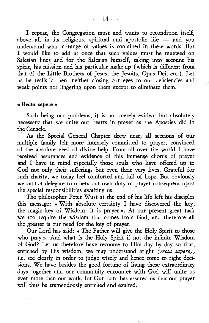I repeat, the Congregation must and wants to recondition itself, above all in its religious, spiritual and apostolic life — and you understand what a range of values is contained in these words. But I would like to add at once that such values must be renewed on Salesian lines and for the Salesian himself, taking into account his spirit, his mission and his particular make-up (which is different from that of the Litde Brothers of Jesus, the Jesuits, Opus Dei, etc.). Let us be realistic then, neither closing our eyes to our deficiencies and weak points nor lingering upon them except to eliminate them.

#### « Recta sapete »

Such being our problems, it is not merely evident but absolutely necessary that we unite our hearts in prayer as the Apostles did in the Cenacle.

As the Special General Chapter drew near, all sections of our multiple family felt more intensely committed to prayer, convinced of the absolute need of divine help. From all over the world I have received assurances and evidence of this immense chorus of prayer and I have in mind especially those souls who have offered up to God not only their sufferings but even their very lives. Grateful for such charity, we today feel comforted and full of hope. But obviously we cannot delegate to others our own duty of prayer consequent upon the special responsibilities awaiting us.

The philosopher Peter Wust at the end of his life left his disciples this message: « With absolute certainty I have discovered the key, the magic key of Wisdom: it is prayer ». At our present great task we too require the wisdom that comes from God, and therefore all the greater is our need for the key of prayer.

Our Lord has said: « The Father will give the Holy Spirit to those who pray ». And what is the Holy Spirit if not the infinite Wisdom of God? Let us therefore' have recourse to Him day by day so that, enriched by His wisdom, we may understand aright *(recta sapere),* i.e. see clearly in order to judge wisely and hence come to right decisions. We have besides the good fortune of living these extraordinary days together and our community encounter with God will unite us even more than our work, for Our Lord has assured us that our prayer will thus be tremendously enriched and exalted.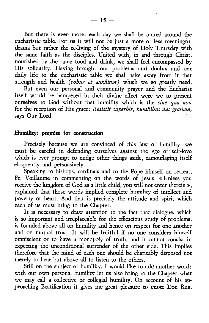But there is even more: each day we shall be united around the eucharistic table. For us it will not be just a more or less meaningful drama but rather the re-living of the mystery of Holy Thursday with the same faith as the disciples. United with, in and through Christ, nourished by the same food and drink, we shall feel encompassed by His solidarity. Having brought our problems and doubts and our daily life to the eucharistic table we shall take away from it that strength and health *(robur et auxilium)* which we so greatly need.

But even our personal and community prayer and the Eucharist itself would be hampered in their divine effect were we to present ourselves to God without that humility which is the *sine qua non* for the reception of His grace: *Resistit superbis, humilibus dat gratiam,* says Our Lord.

## Humility: premise for construction

Precisely because we are convinced of this law of humility, we must be careful in defending ourselves against the *ego* of self-love which is ever prompt to nudge other things aside, camouflaging itself eloquently and persuasively.

Speaking to bishops, cardinals and to the Pope himself on retreat, Fr. Voillaume in commenting on the words of Jesus, « Unless you receive the kingdom of God as a little child, you will not enter therein », explained that those words implied complete humility of intellect and poverty of heart. And that is precisely the attitude and spirit which each of us must bring to the Chapter.

It is necessary to draw attention to the fact that dialogue, which is so important and irreplaceable for the efficacious study of problems, is founded above all on humility and hence on respect for one another and on mutual trust. It will be fruitful if no one considers himself omniscient or to have a monopoly of truth, and it cannot consist in expecting the unconditional surrender of the other side. This implies therefore that the mind of each one should be charitably disposed not merely to hear but above all to listen to the others.

Still on the subject of humility, I would like to add another word: with our own personal humility let us also bring to the Chapter what we may call a collective or collegial humility. On account of his approaching Beatification it gives me great pleasure to quote Don Rua,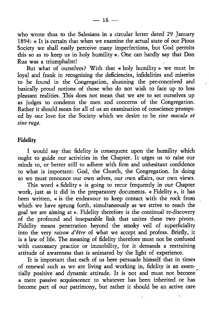who wrote thus to the Salesians in a circular letter dated 29 January 1894: « It is certain that when we examine the actual state of our Pious Society we shall easily perceive many imperfections, but God permits this so as to keep us in holy humility ». One can hardly say that Don Rua was a triumphalist!

But what of ourselves? With that « holy humility » we must be loyal and frank in recognizing the deficiencies, infidelities and miseries to be found in the Congregation, shunning the pre-conceived and basically proud notions of those who do not wish to face up to less pleasant realities. This does not mean that we are to set ourselves up as judges to condemn the men and concerns of the Congregation. Rather it should mean for all of us an examination of conscience prompted by our love for the Society which we desire to be *sine macula et sine ruga.*

## Fidelity

I would say that fidelity is consequent upon the humility which ought to guide our activities in the Chapter. It urges us to raise our minds to, or better still to adhere with firm and unhesitant confidence to what is important: God, the Church, the Congregation. In doing so we must renounce our own selves, our own affairs, our own views.

This word « fidelity » is going to recur frequently in our Chapter work, just as it did in the preparatory documents. « Fidelity », it has been written, « is the endeavour to keep contact with the rock from which we have sprung forth, simultaneously as we strive to reach the goal we are aiming at ». Fidelity therefore is the continual re-discovery of the profound and inseparable link that unites these two pivots. Fidelity means penetration beyond the smoky veil of superficiality into the very *raison d'etre* of what we accept and profess. Briefly, it is a law of life. The meaning of fidelity therefore must not be confused with customary practice or immobility, for it demands a restraining attitude of awareness that is animated by the light of experience.

It is important that each of us here persuade himself that in times of renewal such as we are living and working in, fidelity is an essentially positive and dynamic attitude. It is not and must not become a mere passive acquiescence to whatever has been inherited or has become part of our patrimony, but rather it should be an active care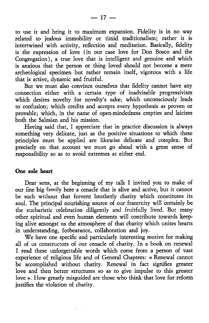to use it and bring it to maximum expansion. Fidelity is in no way related to jealous immobility or timid traditionalism; rather it is intertwined with activity, reflection and meditation. Basically, fidelity is the expression of love (in our case love for Don Bosco and the Congregation), a true love that is intelligent and genuine and which is anxious that the person or thing loved should not become a mere archeological specimen but rather remain itself, vigorous with a life that is active, dynamic and fruitful.

But we must also convince ourselves that fidelity cannot have any connection either with a certain type of inadvisable progressivism which desires novelty for novelty's sake; which unconsciously leads to confusion; which credits and accepts every hypothesis as proven or provable; which, in the name of open-mindedness empties and laicizes both the Salesian and his mission.

Having said that, I appreciate that in practice discussion is always something very delicate, just as the positive situations to which these principles must be applied are likewise delicate and complex. But precisely on that account we must go ahead with a great sense of responsibility so as to avoid extremes at either end.

## One sole heart

Dear sons, at the beginning of my talk I invited you to make of our fine big family here a cenacle that is alive and active, but it cannot be such without that fervent brotherly charity which constitutes its soul. The principal nourishing source of our fraternity will certainly be the eucharistic celebration diligently and fruitfully lived. But many other spiritual and even human elements will contribute towards keeping alive amongst us the atmosphere of that charity which unites hearts in understanding, forbearance, collaboration and joy.

We have one specific and particularly interesting motive for making all of us constructors of our cenacle of charity. In a book on renewal I read these unforgettable words which come from a person of vast experience of religious life and of General Chapters: « Renewal cannot be accomplished without charity. Renewal in fact signifies greater love and then better structures so as to give impulse to this greater love ». How greatly misguided are those who think that love for reform justifies the violation of charity.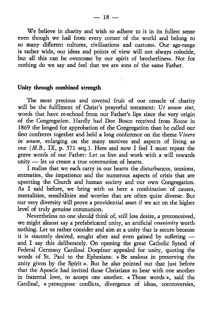We believe in charity and wish to adhere to it in its fullest sense even though we hail from every comer of the world and belong to so many different cultures, civilizations and customs. Our age-range is rather wide, our ideas and points of view will not always coincide, but all this can be overcome by our spirit of brotherliness. Not for nothing do we say and feel that we are sons of the same Father.

# Unity through combined strength

The most precious and coveted fruit of our cenacle of charity will be the fulfilment of Christ's prayerful testament: *Ut mum sint,* words that have re-echoed from our Father's lips since the very origin of the Congregation. Hardly had Don Bosco received from Rome in 1869 the longed for approbation of the Congregation than he called our first confreres together and held a long conference on the theme *Vivere in unum*, enlarging on the many motives and aspects of living as one (*M.B*., IX, p. 571 seq.). Here and now I feel I must repeat the grave words of our Father: Let us live and work with a will towards unity — let us create a true communion of hearts.

I realise that we each carry in our hearts the disturbances, tensions, entreaties, the impatience and the numerous aspects of crisis that are upsetting the Church and human society and our own Congregation. As I said before, we bring with us here a combination of causes, mentalities, sensibilities and worries that are often quite diverse. But our very diversity will prove a providential asset if we act on the higher level of truly genuine communion.

Nevertheless no one should think of, still less desire, a preconceived, we might almost say a prefabricated unity, an artificial unanimity worth nothing. Let us rather consider and aim at a unity that is secure because it is sincerely desired, sought after and even gained by suffering and I say this deliberately. On opening the great Catholic Synod of Federal Germany Cardinal Doepfner appealed for unity, quoting the words of St. Paul to the Ephesians: « Be zealous in preserving the unity given by the Spirit». But he also pointed out that just before that the Apostle had invited those Christians to bear with one another in fraternal love, to accept one another. « Those words », said the Cardinal, « presuppose conflicts, divergence of ideas, controversies,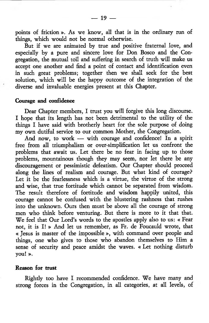points of friction ». As we know, all that is in the ordinary run of things, which would not be normal otherwise.

But if we are animated by true and positive fraternal love, and especially by a pure and sincere love for Don Bosco and the Congregation, the mutual toil and suffering in search of truth will make us accept one another and find a point of contact and identification even in such great problems; together then we shall seek for the best solution, which will be the happy outcome of the integration of the diverse and invaluable energies present at this Chapter.

# Courage and confidence

Dear Chapter members, I trust you will forgive this long discourse. I hope that its length has not been detrimental to the utility of the things I have said with brotherly heart for the sole purpose of doing my own dutiful service to our common Mother, the Congregation.

And now, to work — with courage and confidence! In a spirit free from all triumphalism or over-simplification let us confront the problems that await us. Let there be no fear in facing up to those problems, mountainous though they may seem, nor let there be any discouragement or pessimistic defeatism. Our Chapter should proceed along the lines of realism and courage. But what kind of courage? Let it be the fearlessness which is a virtue, the virtue of the strong and wise, that true fortitude which cannot be separated from wisdom. The result therefore of fortitude and wisdom happily united, this courage cannot be confused with the blustering rashness that rushes into the unknown. Ours then must be above all the courage of strong men who think before venturing. But there is more to it that that. We feel that Our Lord's words to the apostles apply also to us: « Fear not, it is I! » And let us remember, as Fr. de Foucauld wrote, that « Jesus is master of the impossible », with command over people and things, one who gives to those who abandon themselves to Him a sense of security and peace amidst the waves. « Let nothing disturb you! ».

## Reason for trust

Rightly too have I recommended confidence. We have many and strong forces in the Congregation, in all categories, at all levels, of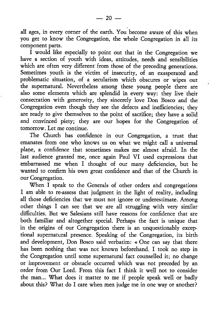all ages, in every comer of the earth. You become aware of this when you get to know the Congregation, the whole Congregation in all its component parts.

 $\overline{I}$  would like especially to point out that in the Congregation we have a section of youth with ideas, attitudes, needs and sensibilities which are often very different from those of the preceding generations. Sometimes youth is the victim of insecurity, of an exasperated and problematic situation, of a secularism which obscures or wipes out the supernatural. Nevertheless among these young people there are also some elements which are splendid in every way: they live their consecration with generosity, they sincerely love Don Bosco and the Congregation even though they see the defects and inefficiencies; they are ready to give themselves to the point of sacrifice; they have a solid and convinced piety; they are our hopes for the Congregation of tomorrow. Let me continue.

The Church has confidence in our Congregation, a trust that emanates from one who knows us on what we might call a universal plane, a confidence that sometimes makes me almost afraid. In the last audience granted me, once again Paul VI used expressions that embarrassed me when I thought of our many deficiencies, but he wanted to confirm his own great confidence and that of the Church in our Congregation.

When I speak to the Generals of other orders and congregations I am able to re-assess that judgment in the light of reality, including all those deficiencies that we must not ignore or underestimate. Among other things I can see that we are all struggling with very similar difficulties. But we Salesians still have reasons for confidence that are both familiar and altogether special. Perhaps the fact is unique that in the origins of our Congregation there is an unquestionably exceptional supernatural presence. Speaking of the Congregation, its birth and development, Don Bosco said verbatim: « One can say that there has been nothing that was not known beforehand. I took no step in the Congregation until some supernatural fact counselled it; no change or improvement or obstacle occurred which was not preceded by an order from Our Lord. From this fact I think it well not to consider the man... What does it matter to me if people speak well or badly about this? What do I care when men judge me in one way or another?